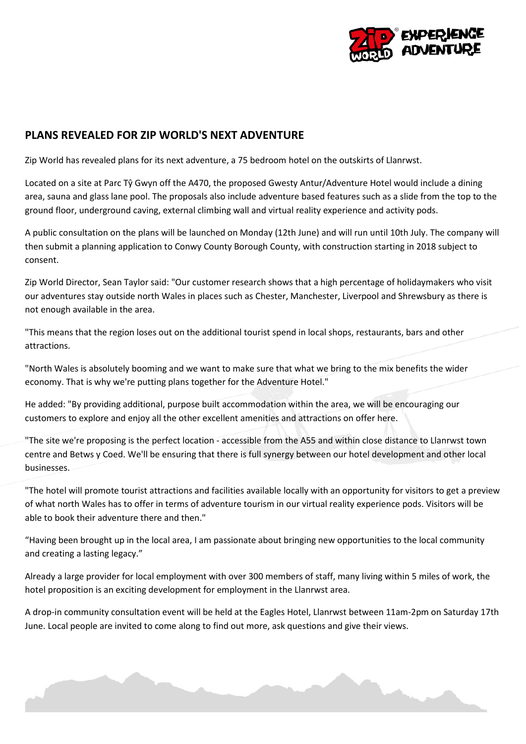

## **PLANS REVEALED FOR ZIP WORLD'S NEXT ADVENTURE**

Zip World has revealed plans for its next adventure, a 75 bedroom hotel on the outskirts of Llanrwst.

Located on a site at Parc Tŷ Gwyn off the A470, the proposed Gwesty Antur/Adventure Hotel would include a dining area, sauna and glass lane pool. The proposals also include adventure based features such as a slide from the top to the ground floor, underground caving, external climbing wall and virtual reality experience and activity pods.

A public consultation on the plans will be launched on Monday (12th June) and will run until 10th July. The company will then submit a planning application to Conwy County Borough County, with construction starting in 2018 subject to consent.

Zip World Director, Sean Taylor said: "Our customer research shows that a high percentage of holidaymakers who visit our adventures stay outside north Wales in places such as Chester, Manchester, Liverpool and Shrewsbury as there is not enough available in the area.

"This means that the region loses out on the additional tourist spend in local shops, restaurants, bars and other attractions.

"North Wales is absolutely booming and we want to make sure that what we bring to the mix benefits the wider economy. That is why we're putting plans together for the Adventure Hotel."

He added: "By providing additional, purpose built accommodation within the area, we will be encouraging our customers to explore and enjoy all the other excellent amenities and attractions on offer here.

"The site we're proposing is the perfect location - accessible from the A55 and within close distance to Llanrwst town centre and Betws y Coed. We'll be ensuring that there is full synergy between our hotel development and other local businesses.

"The hotel will promote tourist attractions and facilities available locally with an opportunity for visitors to get a preview of what north Wales has to offer in terms of adventure tourism in our virtual reality experience pods. Visitors will be able to book their adventure there and then."

"Having been brought up in the local area, I am passionate about bringing new opportunities to the local community and creating a lasting legacy."

Already a large provider for local employment with over 300 members of staff, many living within 5 miles of work, the hotel proposition is an exciting development for employment in the Llanrwst area.

A drop-in community consultation event will be held at the Eagles Hotel, Llanrwst between 11am-2pm on Saturday 17th June. Local people are invited to come along to find out more, ask questions and give their views.